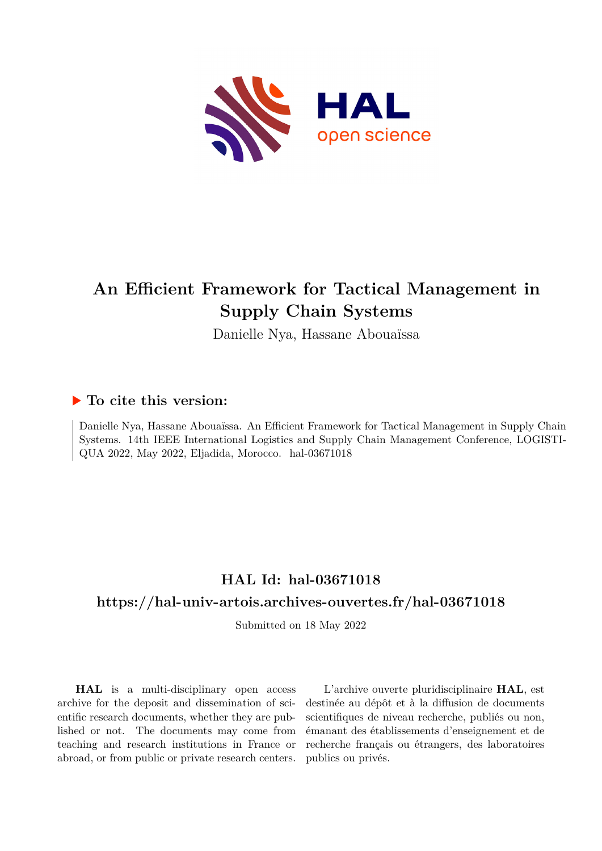

# **An Efficient Framework for Tactical Management in Supply Chain Systems**

Danielle Nya, Hassane Abouaïssa

# **To cite this version:**

Danielle Nya, Hassane Abouaïssa. An Efficient Framework for Tactical Management in Supply Chain Systems. 14th IEEE International Logistics and Supply Chain Management Conference, LOGISTI-QUA 2022, May 2022, Eljadida, Morocco. hal-03671018

# **HAL Id: hal-03671018**

# **<https://hal-univ-artois.archives-ouvertes.fr/hal-03671018>**

Submitted on 18 May 2022

**HAL** is a multi-disciplinary open access archive for the deposit and dissemination of scientific research documents, whether they are published or not. The documents may come from teaching and research institutions in France or abroad, or from public or private research centers.

L'archive ouverte pluridisciplinaire **HAL**, est destinée au dépôt et à la diffusion de documents scientifiques de niveau recherche, publiés ou non, émanant des établissements d'enseignement et de recherche français ou étrangers, des laboratoires publics ou privés.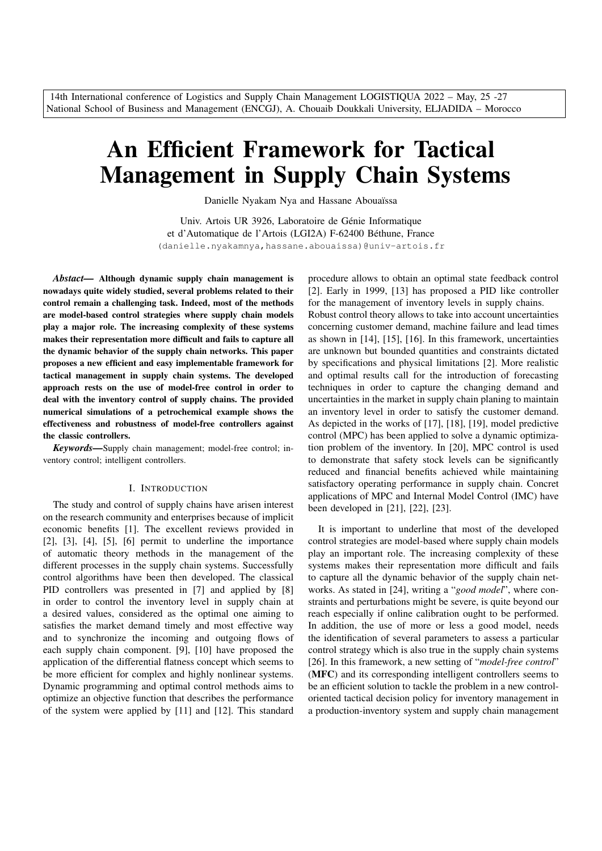14th International conference of Logistics and Supply Chain Management LOGISTIQUA 2022 – May, 25 -27 National School of Business and Management (ENCGJ), A. Chouaib Doukkali University, ELJADIDA – Morocco

# An Efficient Framework for Tactical Management in Supply Chain Systems

Danielle Nyakam Nya and Hassane Abouaïssa

Univ. Artois UR 3926, Laboratoire de Génie Informatique et d'Automatique de l'Artois (LGI2A) F-62400 Béthune, France (danielle.nyakamnya,hassane.abouaissa)@univ-artois.fr

*Abstact—* Although dynamic supply chain management is nowadays quite widely studied, several problems related to their control remain a challenging task. Indeed, most of the methods are model-based control strategies where supply chain models play a major role. The increasing complexity of these systems makes their representation more difficult and fails to capture all the dynamic behavior of the supply chain networks. This paper proposes a new efficient and easy implementable framework for tactical management in supply chain systems. The developed approach rests on the use of model-free control in order to deal with the inventory control of supply chains. The provided numerical simulations of a petrochemical example shows the effectiveness and robustness of model-free controllers against the classic controllers.

*Keywords—*Supply chain management; model-free control; inventory control; intelligent controllers.

#### I. INTRODUCTION

The study and control of supply chains have arisen interest on the research community and enterprises because of implicit economic benefits [1]. The excellent reviews provided in [2], [3], [4], [5], [6] permit to underline the importance of automatic theory methods in the management of the different processes in the supply chain systems. Successfully control algorithms have been then developed. The classical PID controllers was presented in [7] and applied by [8] in order to control the inventory level in supply chain at a desired values, considered as the optimal one aiming to satisfies the market demand timely and most effective way and to synchronize the incoming and outgoing flows of each supply chain component. [9], [10] have proposed the application of the differential flatness concept which seems to be more efficient for complex and highly nonlinear systems. Dynamic programming and optimal control methods aims to optimize an objective function that describes the performance of the system were applied by [11] and [12]. This standard procedure allows to obtain an optimal state feedback control [2]. Early in 1999, [13] has proposed a PID like controller for the management of inventory levels in supply chains. Robust control theory allows to take into account uncertainties concerning customer demand, machine failure and lead times as shown in [14], [15], [16]. In this framework, uncertainties are unknown but bounded quantities and constraints dictated by specifications and physical limitations [2]. More realistic and optimal results call for the introduction of forecasting techniques in order to capture the changing demand and uncertainties in the market in supply chain planing to maintain an inventory level in order to satisfy the customer demand. As depicted in the works of [17], [18], [19], model predictive control (MPC) has been applied to solve a dynamic optimization problem of the inventory. In [20], MPC control is used to demonstrate that safety stock levels can be significantly reduced and financial benefits achieved while maintaining satisfactory operating performance in supply chain. Concret applications of MPC and Internal Model Control (IMC) have

It is important to underline that most of the developed control strategies are model-based where supply chain models play an important role. The increasing complexity of these systems makes their representation more difficult and fails to capture all the dynamic behavior of the supply chain networks. As stated in [24], writing a "*good model*", where constraints and perturbations might be severe, is quite beyond our reach especially if online calibration ought to be performed. In addition, the use of more or less a good model, needs the identification of several parameters to assess a particular control strategy which is also true in the supply chain systems [26]. In this framework, a new setting of "*model-free control*" (MFC) and its corresponding intelligent controllers seems to be an efficient solution to tackle the problem in a new controloriented tactical decision policy for inventory management in a production-inventory system and supply chain management

been developed in [21], [22], [23].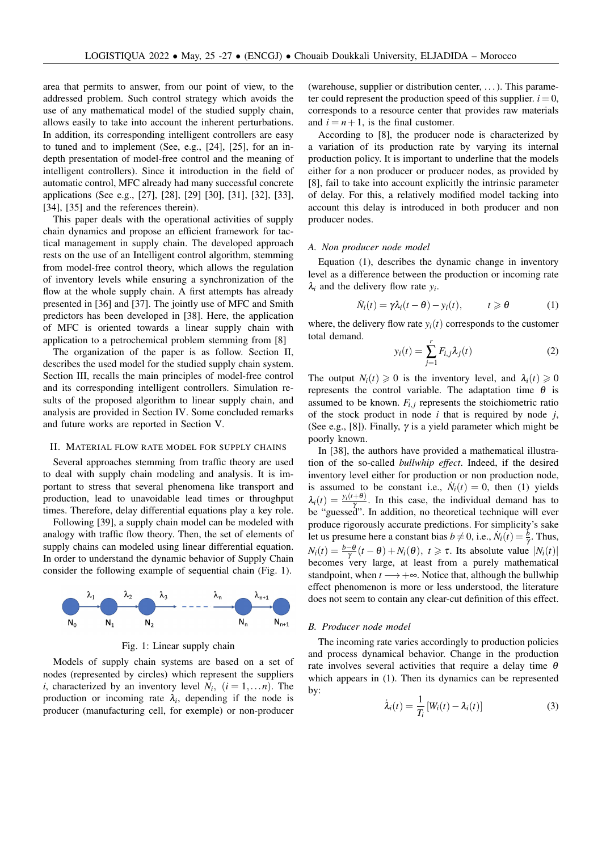area that permits to answer, from our point of view, to the addressed problem. Such control strategy which avoids the use of any mathematical model of the studied supply chain, allows easily to take into account the inherent perturbations. In addition, its corresponding intelligent controllers are easy to tuned and to implement (See, e.g., [24], [25], for an indepth presentation of model-free control and the meaning of intelligent controllers). Since it introduction in the field of automatic control, MFC already had many successful concrete applications (See e.g., [27], [28], [29] [30], [31], [32], [33], [34], [35] and the references therein).

This paper deals with the operational activities of supply chain dynamics and propose an efficient framework for tactical management in supply chain. The developed approach rests on the use of an Intelligent control algorithm, stemming from model-free control theory, which allows the regulation of inventory levels while ensuring a synchronization of the flow at the whole supply chain. A first attempts has already presented in [36] and [37]. The jointly use of MFC and Smith predictors has been developed in [38]. Here, the application of MFC is oriented towards a linear supply chain with application to a petrochemical problem stemming from [8]

The organization of the paper is as follow. Section II, describes the used model for the studied supply chain system. Section III, recalls the main principles of model-free control and its corresponding intelligent controllers. Simulation results of the proposed algorithm to linear supply chain, and analysis are provided in Section IV. Some concluded remarks and future works are reported in Section V.

#### II. MATERIAL FLOW RATE MODEL FOR SUPPLY CHAINS

Several approaches stemming from traffic theory are used to deal with supply chain modeling and analysis. It is important to stress that several phenomena like transport and production, lead to unavoidable lead times or throughput times. Therefore, delay differential equations play a key role.

Following [39], a supply chain model can be modeled with analogy with traffic flow theory. Then, the set of elements of supply chains can modeled using linear differential equation. In order to understand the dynamic behavior of Supply Chain consider the following example of sequential chain (Fig. 1).



Fig. 1: Linear supply chain

Models of supply chain systems are based on a set of nodes (represented by circles) which represent the suppliers *i*, characterized by an inventory level  $N_i$ ,  $(i = 1,...n)$ . The production or incoming rate  $\lambda_i$ , depending if the node is producer (manufacturing cell, for exemple) or non-producer

(warehouse, supplier or distribution center, . . . ). This parameter could represent the production speed of this supplier.  $i = 0$ , corresponds to a resource center that provides raw materials and  $i = n + 1$ , is the final customer.

According to [8], the producer node is characterized by a variation of its production rate by varying its internal production policy. It is important to underline that the models either for a non producer or producer nodes, as provided by [8], fail to take into account explicitly the intrinsic parameter of delay. For this, a relatively modified model tacking into account this delay is introduced in both producer and non producer nodes.

#### *A. Non producer node model*

Equation (1), describes the dynamic change in inventory level as a difference between the production or incoming rate  $\lambda_i$  and the delivery flow rate  $y_i$ .

$$
\dot{N}_i(t) = \gamma \lambda_i(t - \theta) - y_i(t), \qquad t \geq \theta \tag{1}
$$

where, the delivery flow rate  $y_i(t)$  corresponds to the customer total demand. *r*

$$
y_i(t) = \sum_{j=1}^{t} F_{i,j} \lambda_j(t)
$$
 (2)

The output  $N_i(t) \ge 0$  is the inventory level, and  $\lambda_i(t) \ge 0$ represents the control variable. The adaptation time  $\theta$  is assumed to be known.  $F_{i,j}$  represents the stoichiometric ratio of the stock product in node *i* that is required by node *j*, (See e.g., [8]). Finally,  $\gamma$  is a yield parameter which might be poorly known.

In [38], the authors have provided a mathematical illustration of the so-called *bullwhip effect*. Indeed, if the desired inventory level either for production or non production node, is assumed to be constant i.e.,  $\dot{N}_i(t) = 0$ , then (1) yields  $\lambda_i(t) = \frac{y_i(t+\theta)}{\gamma}$ . In this case, the individual demand has to  $\gamma$  be "guessed". In addition, no theoretical technique will ever produce rigorously accurate predictions. For simplicity's sake let us presume here a constant bias  $b \neq 0$ , i.e.,  $\dot{N}_i(t) = \frac{b}{\gamma}$ . Thus,  $N_i(t) = \frac{b-\theta}{\gamma}(t-\theta) + N_i(\theta), t \ge \tau$ . Its absolute value  $|N_i(t)|$ becomes very large, at least from a purely mathematical standpoint, when  $t \rightarrow +\infty$ . Notice that, although the bullwhip effect phenomenon is more or less understood, the literature does not seem to contain any clear-cut definition of this effect.

#### *B. Producer node model*

The incoming rate varies accordingly to production policies and process dynamical behavior. Change in the production rate involves several activities that require a delay time  $\theta$ which appears in (1). Then its dynamics can be represented by:

$$
\dot{\lambda}_i(t) = \frac{1}{T_i} \left[ W_i(t) - \lambda_i(t) \right] \tag{3}
$$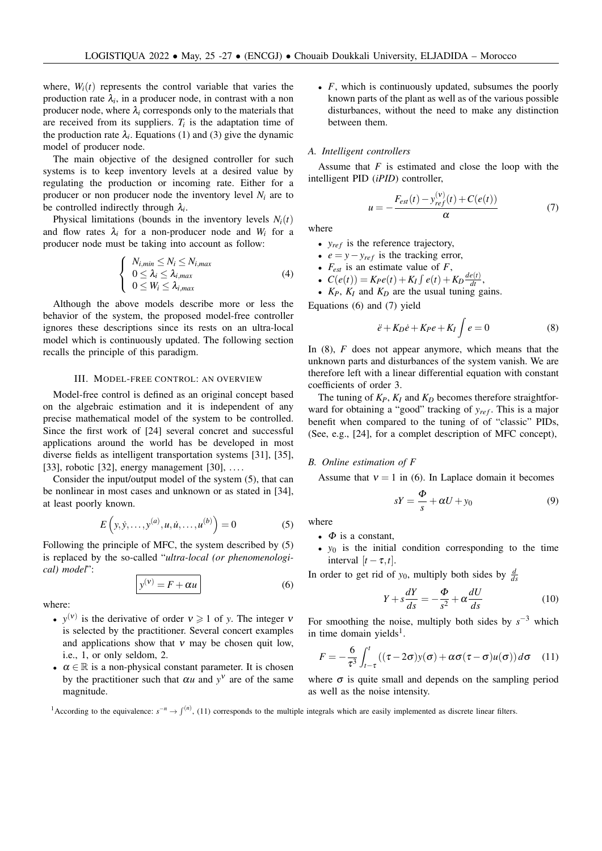where,  $W_i(t)$  represents the control variable that varies the production rate  $\lambda_i$ , in a producer node, in contrast with a non producer node, where  $\lambda_i$  corresponds only to the materials that are received from its suppliers.  $T_i$  is the adaptation time of the production rate  $\lambda_i$ . Equations (1) and (3) give the dynamic model of producer node.

The main objective of the designed controller for such systems is to keep inventory levels at a desired value by regulating the production or incoming rate. Either for a producer or non producer node the inventory level *N<sup>i</sup>* are to be controlled indirectly through λ*<sup>i</sup>* .

Physical limitations (bounds in the inventory levels  $N_i(t)$ and flow rates  $\lambda_i$  for a non-producer node and  $W_i$  for a producer node must be taking into account as follow:

$$
\begin{cases}\nN_{i,min} \leq N_i \leq N_{i,max} \\
0 \leq \lambda_i \leq \lambda_{i,max} \\
0 \leq W_i \leq \lambda_{i,max}\n\end{cases}
$$
\n(4)

Although the above models describe more or less the behavior of the system, the proposed model-free controller ignores these descriptions since its rests on an ultra-local model which is continuously updated. The following section recalls the principle of this paradigm.

#### III. MODEL-FREE CONTROL: AN OVERVIEW

Model-free control is defined as an original concept based on the algebraic estimation and it is independent of any precise mathematical model of the system to be controlled. Since the first work of [24] several concret and successful applications around the world has be developed in most diverse fields as intelligent transportation systems [31], [35], [33], robotic [32], energy management [30],  $\dots$ 

Consider the input/output model of the system (5), that can be nonlinear in most cases and unknown or as stated in [34], at least poorly known.

$$
E(y, \dot{y}, \dots, y^{(a)}, u, \dot{u}, \dots, u^{(b)}) = 0
$$
 (5)

Following the principle of MFC, the system described by (5) is replaced by the so-called "*ultra-local (or phenomenological) model*":

$$
y^{(v)} = F + \alpha u \tag{6}
$$

where:

- $y^{(v)}$  is the derivative of order  $v \ge 1$  of *y*. The integer *v* is selected by the practitioner. Several concert examples and applications show that  $v$  may be chosen quit low, i.e., 1, or only seldom, 2.
- $\alpha \in \mathbb{R}$  is a non-physical constant parameter. It is chosen by the practitioner such that  $\alpha u$  and  $y^v$  are of the same magnitude.

• *F*, which is continuously updated, subsumes the poorly known parts of the plant as well as of the various possible disturbances, without the need to make any distinction between them.

### *A. Intelligent controllers*

Assume that *F* is estimated and close the loop with the intelligent PID (*iPID*) controller,

$$
u = -\frac{F_{est}(t) - y_{ref}^{(v)}(t) + C(e(t))}{\alpha}
$$
(7)

where

- $y_{ref}$  is the reference trajectory,
- $e = y y_{ref}$  is the tracking error,
- *Fest* is an estimate value of *F*,
- $C(e(t)) = K_Pe(t) + K_I \int e(t) + K_D \frac{de(t)}{dt}$
- *KP*, *K<sup>I</sup>* and *K<sup>D</sup>* are the usual tuning gains.

Equations (6) and (7) yield

$$
\ddot{e} + K_D \dot{e} + K_P e + K_I \int e = 0 \tag{8}
$$

In (8), *F* does not appear anymore, which means that the unknown parts and disturbances of the system vanish. We are therefore left with a linear differential equation with constant coefficients of order 3.

The tuning of  $K_P$ ,  $K_I$  and  $K_D$  becomes therefore straightforward for obtaining a "good" tracking of  $y_{ref}$ . This is a major benefit when compared to the tuning of of "classic" PIDs, (See, e.g., [24], for a complet description of MFC concept),

## *B. Online estimation of F*

Assume that  $v = 1$  in (6). In Laplace domain it becomes

$$
sY = \frac{\Phi}{s} + \alpha U + y_0 \tag{9}
$$

where

- $\Phi$  is a constant,
- *y*<sup>0</sup> is the initial condition corresponding to the time interval  $[t - \tau, t]$ .

In order to get rid of  $y_0$ , multiply both sides by  $\frac{d}{ds}$ 

$$
Y + s\frac{dY}{ds} = -\frac{\Phi}{s^2} + \alpha \frac{dU}{ds}
$$
 (10)

For smoothing the noise, multiply both sides by  $s^{-3}$  which in time domain yields<sup>1</sup>.

$$
F = -\frac{6}{\tau^3} \int_{t-\tau}^t ((\tau - 2\sigma)y(\sigma) + \alpha\sigma(\tau - \sigma)u(\sigma))\,d\sigma \quad (11)
$$

where  $\sigma$  is quite small and depends on the sampling period as well as the noise intensity.

<sup>1</sup>According to the equivalence:  $s^{-n} \to f^{(n)}$ , (11) corresponds to the multiple integrals which are easily implemented as discrete linear filters.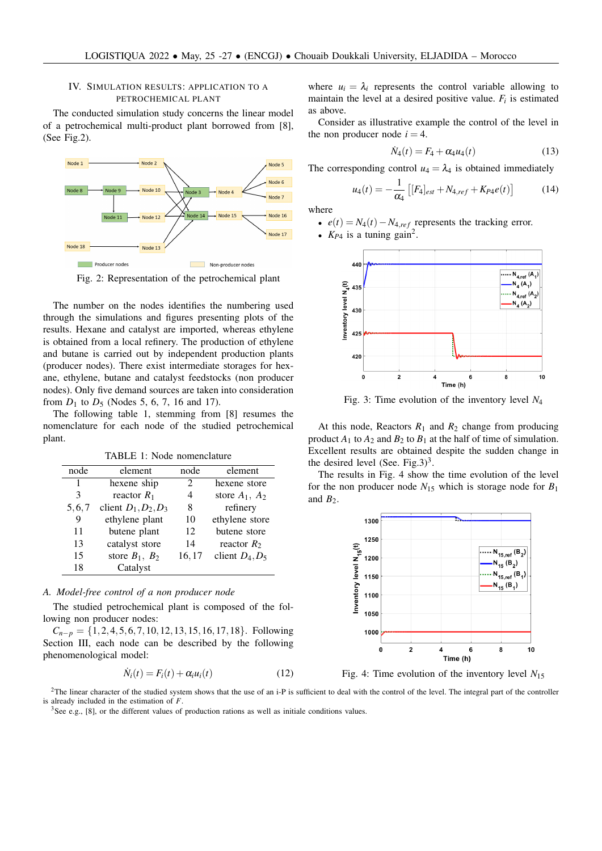# IV. SIMULATION RESULTS: APPLICATION TO A PETROCHEMICAL PLANT

The conducted simulation study concerns the linear model of a petrochemical multi-product plant borrowed from [8], (See Fig.2).



Fig. 2: Representation of the petrochemical plant

The number on the nodes identifies the numbering used through the simulations and figures presenting plots of the results. Hexane and catalyst are imported, whereas ethylene is obtained from a local refinery. The production of ethylene and butane is carried out by independent production plants (producer nodes). There exist intermediate storages for hexane, ethylene, butane and catalyst feedstocks (non producer nodes). Only five demand sources are taken into consideration from  $D_1$  to  $D_5$  (Nodes 5, 6, 7, 16 and 17).

The following table 1, stemming from [8] resumes the nomenclature for each node of the studied petrochemical plant.

TABLE 1: Node nomenclature

| node          | element                | node  | element           |
|---------------|------------------------|-------|-------------------|
| 1             | hexene ship            | 2     | hexene store      |
| $\mathcal{R}$ | reactor $R_1$          | 4     | store $A_1, A_2$  |
| 5, 6, 7       | client $D_1, D_2, D_3$ | 8     | refinery          |
| 9             | ethylene plant         | 10    | ethylene store    |
| 11            | butene plant           | 12    | butene store      |
| 13            | catalyst store         | 14    | reactor $R_2$     |
| 15            | store $B_1, B_2$       | 16,17 | client $D_4, D_5$ |
| 18            | Catalyst               |       |                   |
|               |                        |       |                   |

## *A. Model-free control of a non producer node*

The studied petrochemical plant is composed of the following non producer nodes:

 $C_{n-p} = \{1, 2, 4, 5, 6, 7, 10, 12, 13, 15, 16, 17, 18\}$ . Following Section III, each node can be described by the following phenomenological model:

$$
\dot{N}_i(t) = F_i(t) + \alpha_i u_i(t) \tag{12}
$$

where  $u_i = \lambda_i$  represents the control variable allowing to maintain the level at a desired positive value.  $F_i$  is estimated as above.

Consider as illustrative example the control of the level in the non producer node  $i = 4$ .

$$
\dot{N}_4(t) = F_4 + \alpha_4 u_4(t) \tag{13}
$$

The corresponding control  $u_4 = \lambda_4$  is obtained immediately

$$
u_4(t) = -\frac{1}{\alpha_4} \left[ [F_4]_{est} + N_{4,ref} + K_{P4}e(t) \right] \tag{14}
$$

where

•  $e(t) = N_4(t) - N_{4,ref}$  represents the tracking error.

•  $K_{P4}$  is a tuning gain<sup>2</sup>.



Fig. 3: Time evolution of the inventory level *N*<sup>4</sup>

At this node, Reactors  $R_1$  and  $R_2$  change from producing product  $A_1$  to  $A_2$  and  $B_2$  to  $B_1$  at the half of time of simulation. Excellent results are obtained despite the sudden change in the desired level (See. Fig.3)<sup>3</sup>.

The results in Fig. 4 show the time evolution of the level for the non producer node  $N_{15}$  which is storage node for  $B_1$ and  $B_2$ .



Fig. 4: Time evolution of the inventory level  $N_{15}$ 

 $2$ The linear character of the studied system shows that the use of an i-P is sufficient to deal with the control of the level. The integral part of the controller is already included in the estimation of *F*.

<sup>3</sup>See e.g., [8], or the different values of production rations as well as initiale conditions values.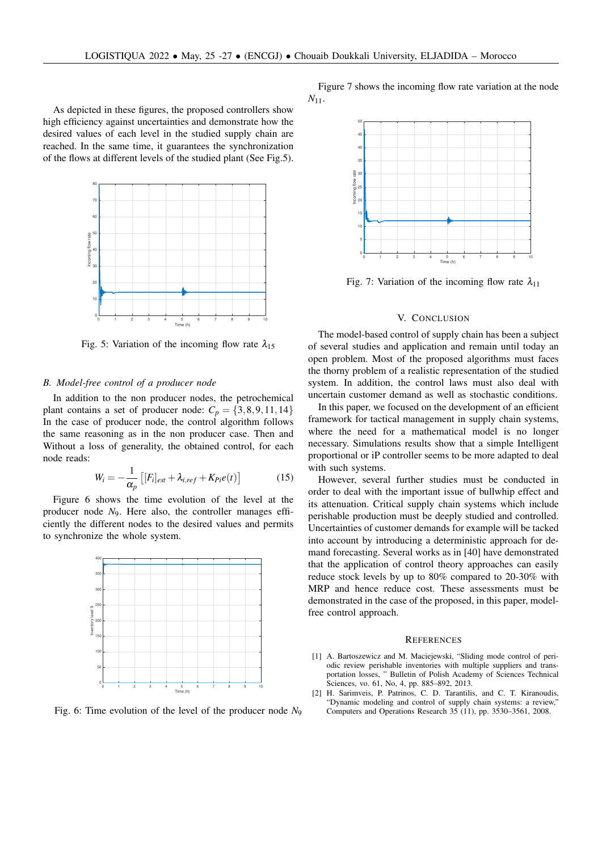As depicted in these figures, the proposed controllers show high efficiency against uncertainties and demonstrate how the desired values of each level in the studied supply chain are reached. In the same time, it guarantees the synchronization of the flows at different levels of the studied plant (See Fig.5).



Fig. 5: Variation of the incoming flow rate  $\lambda_{15}$ 

## *B. Model-free control of a producer node*

In addition to the non producer nodes, the petrochemical plant contains a set of producer node:  $C_p = \{3,8,9,11,14\}$ In the case of producer node, the control algorithm follows the same reasoning as in the non producer case. Then and Without a loss of generality, the obtained control, for each node reads:

$$
W_i = -\frac{1}{\alpha_p} \left[ [F_i]_{est} + \lambda_{i, ref} + K_{Pi}e(t) \right]
$$
 (15)

Figure 6 shows the time evolution of the level at the producer node *N*9. Here also, the controller manages efficiently the different nodes to the desired values and permits to synchronize the whole system.



Fig. 6: Time evolution of the level of the producer node *N*<sup>9</sup>

Figure 7 shows the incoming flow rate variation at the node *N*11.



Fig. 7: Variation of the incoming flow rate  $\lambda_{11}$ 

## V. CONCLUSION

The model-based control of supply chain has been a subject of several studies and application and remain until today an open problem. Most of the proposed algorithms must faces the thorny problem of a realistic representation of the studied system. In addition, the control laws must also deal with uncertain customer demand as well as stochastic conditions.

In this paper, we focused on the development of an efficient framework for tactical management in supply chain systems, where the need for a mathematical model is no longer necessary. Simulations results show that a simple Intelligent proportional or iP controller seems to be more adapted to deal with such systems.

However, several further studies must be conducted in order to deal with the important issue of bullwhip effect and its attenuation. Critical supply chain systems which include perishable production must be deeply studied and controlled. Uncertainties of customer demands for example will be tacked into account by introducing a deterministic approach for demand forecasting. Several works as in [40] have demonstrated that the application of control theory approaches can easily reduce stock levels by up to 80% compared to 20-30% with MRP and hence reduce cost. These assessments must be demonstrated in the case of the proposed, in this paper, modelfree control approach.

#### **REFERENCES**

- [1] A. Bartoszewicz and M. Maciejewski, "Sliding mode control of periodic review perishable inventories with multiple suppliers and transportation losses, " Bulletin of Polish Academy of Sciences Technical Sciences, vo. 61, No, 4, pp. 885–892, 2013.
- [2] H. Sarimveis, P. Patrinos, C. D. Tarantilis, and C. T. Kiranoudis, "Dynamic modeling and control of supply chain systems: a review," Computers and Operations Research 35 (11), pp. 3530–3561, 2008.